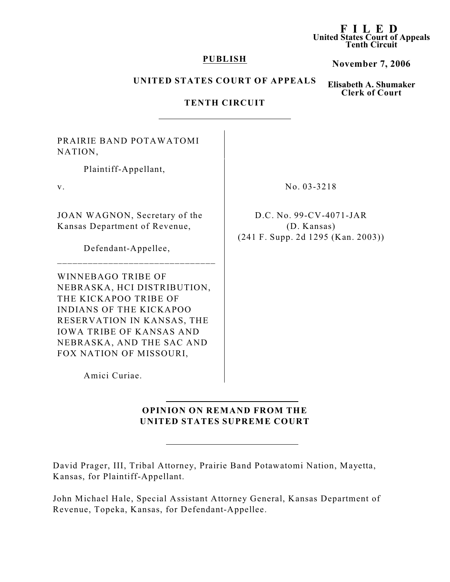#### **F I LED United States Court of Appeals Tenth Circuit**

#### **PUBLISH**

## **November 7, 2006**

### **UNITED STATES COURT OF APPEALS**

**Elisabeth A. Shumaker Clerk of Court**

# **TENTH CIRCUIT**

PRAIRIE BAND POTAWATOMI NATION,

Plaintiff-Appellant,

JOAN WAGNON, Secretary of the Kansas Department of Revenue,

Defendant-Appellee,

\_\_\_\_\_\_\_\_\_\_\_\_\_\_\_\_\_\_\_\_\_\_\_\_\_\_\_\_\_\_\_

WINNEBAGO TRIBE OF NEBRASKA, HCI DISTRIBUTION, THE KICKAPOO TRIBE OF INDIANS OF THE KICKAPOO RESERVATION IN KANSAS, THE IOWA TRIBE OF KANSAS AND NEBRASKA, AND THE SAC AND FOX NATION OF MISSOURI,

Amici Curiae.

# **OPINION ON REMAND FROM THE UNITED STATES SUPREME COURT**

David Prager, III, Tribal Attorney, Prairie Band Potawatomi Nation, Mayetta, Kansas, for Plaintiff-Appellant.

John Michael Hale, Special Assistant Attorney General, Kansas Department of Revenue, Topeka, Kansas, for Defendant-Appellee.

v. No. 03-3218

D.C. No. 99-CV-4071-JAR (D. Kansas) (241 F. Supp. 2d 1295 (Kan. 2003))